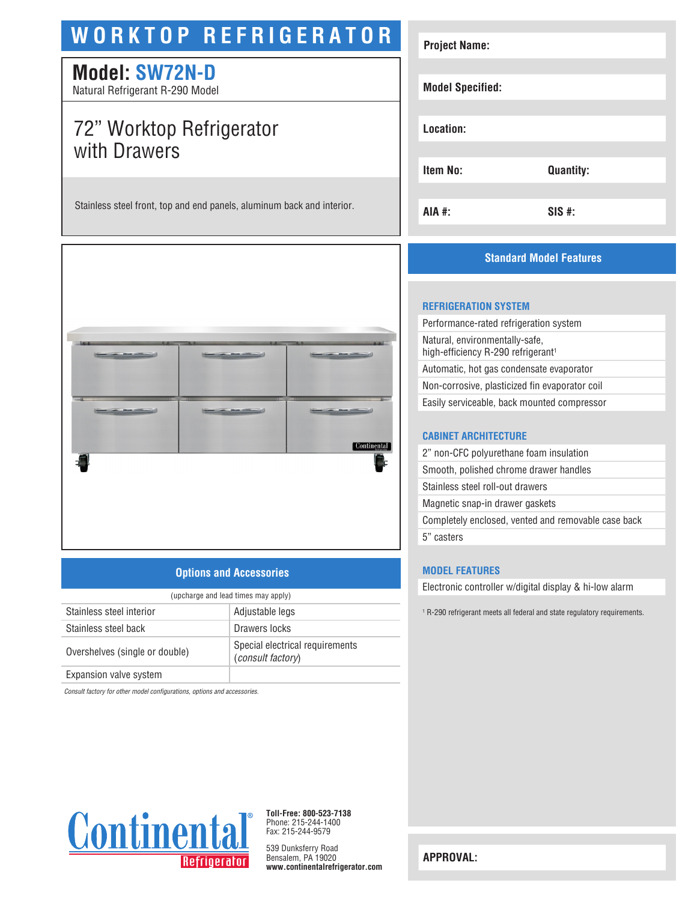# **WORKTOP REFRIGERATOR**

# **Model: SW72N-D**

Natural Refrigerant R-290 Model

# 72" Worktop Refrigerator with Drawers

Stainless steel front, top and end panels, aluminum back and interior.



## **Options and Accessories**

| (upcharge and lead times may apply) |                                                      |  |
|-------------------------------------|------------------------------------------------------|--|
| Stainless steel interior            | Adjustable legs                                      |  |
| Stainless steel back                | Drawers locks                                        |  |
| Overshelves (single or double)      | Special electrical requirements<br>(consult factory) |  |
| Expansion valve system              |                                                      |  |

*Consult factory for other model configurations, options and accessories.*



**Toll-Free: 800-523-7138** Phone: 215-244-1400 Fax: 215-244-9579

539 Dunksferry Road Bensalem, PA 19020 **www.continentalrefrigerator.com** 

| <b>Project Name:</b>    |                  |
|-------------------------|------------------|
|                         |                  |
| <b>Model Specified:</b> |                  |
|                         |                  |
| Location:               |                  |
|                         |                  |
| <b>Item No:</b>         | <b>Quantity:</b> |
|                         |                  |
| AIA #:                  | $SIS$ #:         |

# **Standard Model Features**

#### **REFRIGERATION SYSTEM**

| Performance-rated refrigeration system                                           |
|----------------------------------------------------------------------------------|
| Natural, environmentally-safe,<br>high-efficiency R-290 refrigerant <sup>1</sup> |
| Automatic, hot gas condensate evaporator                                         |
| Non-corrosive, plasticized fin evaporator coil                                   |
| Easily serviceable, back mounted compressor                                      |
|                                                                                  |
|                                                                                  |

#### **CABINET ARCHITECTURE**

| 2" non-CFC polyurethane foam insulation             |  |
|-----------------------------------------------------|--|
| Smooth, polished chrome drawer handles              |  |
| Stainless steel roll-out drawers                    |  |
| Magnetic snap-in drawer gaskets                     |  |
| Completely enclosed, vented and removable case back |  |
| 5" casters                                          |  |
|                                                     |  |

#### **MODEL FEATURES**

Electronic controller w/digital display & hi-low alarm

1 R-290 refrigerant meets all federal and state regulatory requirements.

**APPROVAL:**